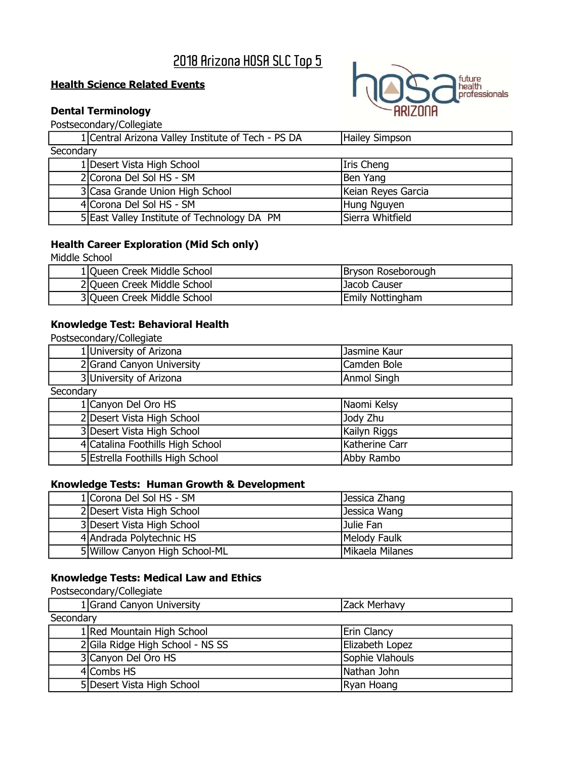# 2018 Arizona HOSA SLC Top 5

### **Health Science Related Events**

# Dental Terminology

Postsecondary/Collegiate

|           | 1 Central Arizona Valley Institute of Tech - PS DA | Hailey Simpson     |
|-----------|----------------------------------------------------|--------------------|
| Secondary |                                                    |                    |
|           | 1 Desert Vista High School                         | Iris Cheng         |
|           | 2 Corona Del Sol HS - SM                           | Ben Yang           |
|           | 3 Casa Grande Union High School                    | Keian Reyes Garcia |
|           | 4 Corona Del Sol HS - SM                           | Hung Nguyen        |
|           | 5 East Valley Institute of Technology DA PM        | Sierra Whitfield   |

# Health Career Exploration (Mid Sch only)

Middle School

| 1 Queen Creek Middle School | Bryson Roseborough      |
|-----------------------------|-------------------------|
| 2 Queen Creek Middle School | Jacob Causer            |
| 3 Queen Creek Middle School | <b>Emily Nottingham</b> |

### Knowledge Test: Behavioral Health

| Postsecondary/Collegiate |                                  |                |
|--------------------------|----------------------------------|----------------|
|                          | 1 University of Arizona          | Jasmine Kaur   |
|                          | 2 Grand Canyon University        | Camden Bole    |
|                          | 3 University of Arizona          | Anmol Singh    |
| Secondary                |                                  |                |
|                          | 1 Canyon Del Oro HS              | Naomi Kelsy    |
|                          | 2 Desert Vista High School       | Jody Zhu       |
|                          | 3 Desert Vista High School       | Kailyn Riggs   |
|                          | 4 Catalina Foothills High School | Katherine Carr |
|                          | 5 Estrella Foothills High School | Abby Rambo     |

### Knowledge Tests: Human Growth & Development

| 1 Corona Del Sol HS - SM       | Jessica Zhang   |
|--------------------------------|-----------------|
| 2 Desert Vista High School     | Jessica Wang    |
| 3 Desert Vista High School     | Julie Fan       |
| 4 Andrada Polytechnic HS       | Melody Faulk    |
| 5 Willow Canyon High School-ML | Mikaela Milanes |

# Knowledge Tests: Medical Law and Ethics

| 1 Grand Canyon University        | Zack Merhavy       |  |
|----------------------------------|--------------------|--|
| Secondary                        |                    |  |
| 1 Red Mountain High School       | <b>Erin Clancy</b> |  |
| 2 Gila Ridge High School - NS SS | Elizabeth Lopez    |  |
| 3 Canyon Del Oro HS              | Sophie Vlahouls    |  |
| 4 Combs HS                       | Nathan John        |  |
| 5 Desert Vista High School       | Ryan Hoang         |  |

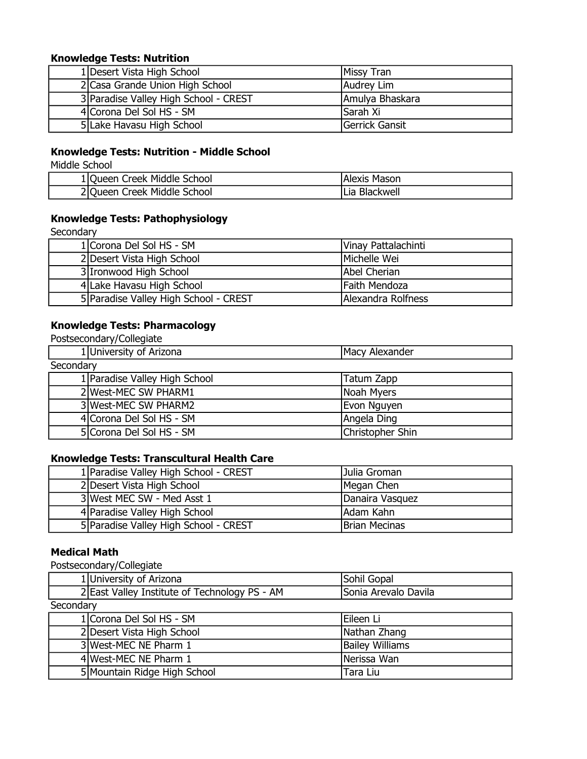### Knowledge Tests: Nutrition

| 1 Desert Vista High School            | Missy Tran       |
|---------------------------------------|------------------|
| 2 Casa Grande Union High School       | Audrey Lim       |
| 3 Paradise Valley High School - CREST | Amulya Bhaskara  |
| 4 Corona Del Sol HS - SM              | <b>ISarah Xi</b> |
| 5 Lake Havasu High School             | Gerrick Gansit   |

# Knowledge Tests: Nutrition - Middle School

Middle School

| 1 Queen Creek Middle School | Mason<br>Alexis     |
|-----------------------------|---------------------|
| 2 Queen Creek Middle School | Blackwell<br>.Lia i |

# Knowledge Tests: Pathophysiology

Secondary

| 1 Corona Del Sol HS - SM              | Vinay Pattalachinti |
|---------------------------------------|---------------------|
| 2 Desert Vista High School            | Michelle Wei        |
| 3 Ironwood High School                | Abel Cherian        |
| 4 Lake Havasu High School             | Faith Mendoza       |
| 5 Paradise Valley High School - CREST | Alexandra Rolfness  |

### Knowledge Tests: Pharmacology

Postsecondary/Collegiate

| 1 University of Arizona       | Macy Alexander   |  |
|-------------------------------|------------------|--|
| Secondary                     |                  |  |
| 1 Paradise Valley High School | Tatum Zapp       |  |
| 2 West-MEC SW PHARM1          | Noah Myers       |  |
| 3 West-MEC SW PHARM2          | Evon Nguyen      |  |
| 4 Corona Del Sol HS - SM      | Angela Ding      |  |
| 5 Corona Del Sol HS - SM      | Christopher Shin |  |

### Knowledge Tests: Transcultural Health Care

| 1 Paradise Valley High School - CREST | Julia Groman         |
|---------------------------------------|----------------------|
| 2 Desert Vista High School            | Megan Chen           |
| 3 West MEC SW - Med Asst 1            | Danaira Vasquez      |
| 4 Paradise Valley High School         | Adam Kahn            |
| 5 Paradise Valley High School - CREST | <b>Brian Mecinas</b> |

### Medical Math

|           | 1 University of Arizona                       | Sohil Gopal            |
|-----------|-----------------------------------------------|------------------------|
|           | 2 East Valley Institute of Technology PS - AM | Sonia Arevalo Davila   |
| Secondary |                                               |                        |
|           | 1 Corona Del Sol HS - SM                      | lEileen Li             |
|           | 2 Desert Vista High School                    | Nathan Zhang           |
|           | 3 West-MEC NE Pharm 1                         | <b>Bailey Williams</b> |
|           | 4 West-MEC NE Pharm 1                         | Nerissa Wan            |
|           | 5 Mountain Ridge High School                  | Tara Liu               |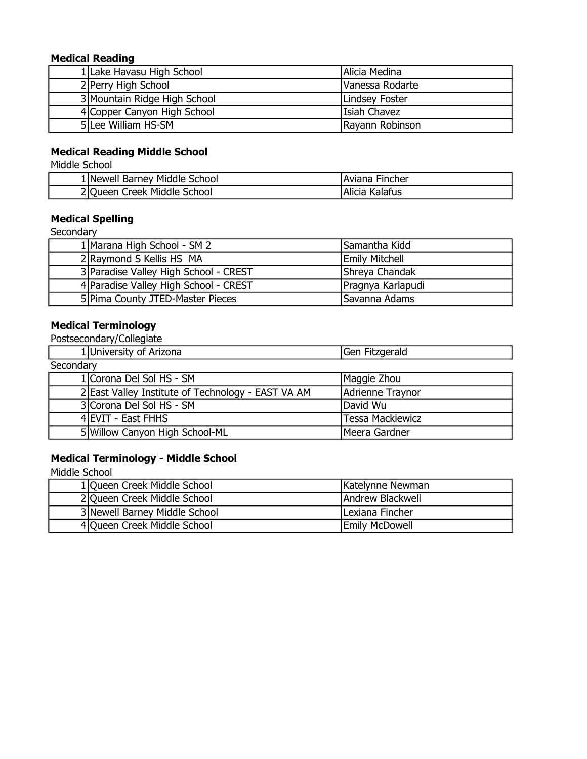### Medical Reading

| 1 Lake Havasu High School    | Alicia Medina   |
|------------------------------|-----------------|
| 2 Perry High School          | Vanessa Rodarte |
| 3 Mountain Ridge High School | Lindsey Foster  |
| 4 Copper Canyon High School  | lIsiah Chavez   |
| 5 Lee William HS-SM          | Rayann Robinson |

# Medical Reading Middle School

Middle School

| 1 Newell Barney Middle School       | Aviana Fincher    |
|-------------------------------------|-------------------|
| Middle School<br>2 Queen<br>Creek N | Alicia<br>Kalafus |

# Medical Spelling

**Secondary** 

| 1 Marana High School - SM 2           | Samantha Kidd         |
|---------------------------------------|-----------------------|
| 2 Raymond S Kellis HS MA              | <b>Emily Mitchell</b> |
| 3 Paradise Valley High School - CREST | Shreya Chandak        |
| 4 Paradise Valley High School - CREST | Pragnya Karlapudi     |
| 5 Pima County JTED-Master Pieces      | Savanna Adams         |

# Medical Terminology

Postsecondary/Collegiate

|           | 1 University of Arizona                            | Gen Fitzgerald          |
|-----------|----------------------------------------------------|-------------------------|
| Secondary |                                                    |                         |
|           | 1 Corona Del Sol HS - SM                           | Maggie Zhou             |
|           | 2 East Valley Institute of Technology - EAST VA AM | Adrienne Traynor        |
|           | 3 Corona Del Sol HS - SM                           | lDavid Wu               |
|           | 4 EVIT - East FHHS                                 | <b>Tessa Mackiewicz</b> |
|           | 5 Willow Canyon High School-ML                     | Meera Gardner           |

## Medical Terminology - Middle School

| 1 Queen Creek Middle School   | Katelynne Newman         |
|-------------------------------|--------------------------|
| 2 Queen Creek Middle School   | <b>JAndrew Blackwell</b> |
| 3 Newell Barney Middle School | ILexiana Fincher         |
| 4 Queen Creek Middle School   | <b>Emily McDowell</b>    |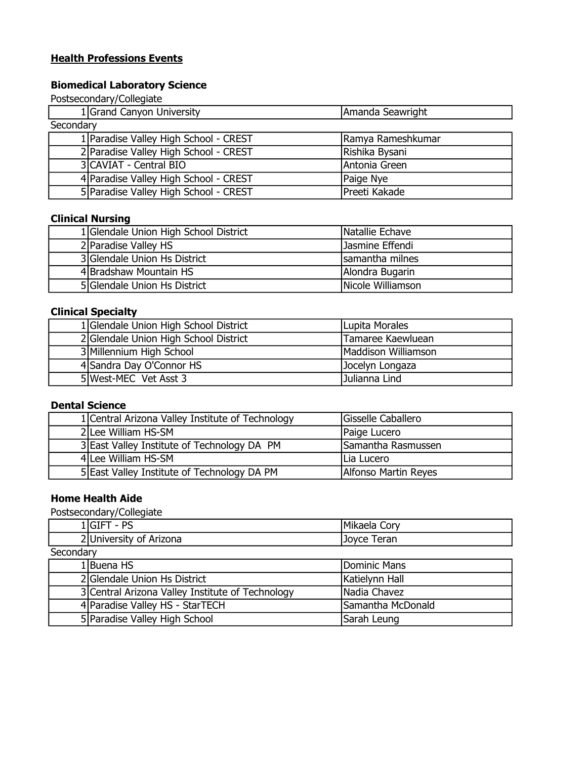### **Health Professions Events**

### Biomedical Laboratory Science

Postsecondary/Collegiate

| 1 Grand Canyon University             | Amanda Seawright  |  |
|---------------------------------------|-------------------|--|
| Secondary                             |                   |  |
| 1 Paradise Valley High School - CREST | Ramya Rameshkumar |  |
| 2 Paradise Valley High School - CREST | Rishika Bysani    |  |
| 3 CAVIAT - Central BIO                | Antonia Green     |  |
| 4 Paradise Valley High School - CREST | Paige Nye         |  |
| 5 Paradise Valley High School - CREST | Preeti Kakade     |  |

# Clinical Nursing

| 1 Glendale Union High School District | Natallie Echave   |
|---------------------------------------|-------------------|
| 2 Paradise Valley HS                  | Jasmine Effendi   |
| 3 Glendale Union Hs District          | samantha milnes   |
| 4 Bradshaw Mountain HS                | Alondra Bugarin   |
| 5 Glendale Union Hs District          | Nicole Williamson |

# Clinical Specialty

| 1 Glendale Union High School District | Lupita Morales      |
|---------------------------------------|---------------------|
| 2 Glendale Union High School District | Tamaree Kaewluean   |
| 3 Millennium High School              | Maddison Williamson |
| 4 Sandra Day O'Connor HS              | Jocelyn Longaza     |
| 5 West-MEC Vet Asst 3                 | Julianna Lind       |

### Dental Science

| 1 Central Arizona Valley Institute of Technology | Gisselle Caballero   |
|--------------------------------------------------|----------------------|
| 2 Lee William HS-SM                              | Paige Lucero         |
| 3 East Valley Institute of Technology DA PM      | Samantha Rasmussen   |
| 4 Lee William HS-SM                              | Lia Lucero           |
| 5 East Valley Institute of Technology DA PM      | Alfonso Martin Reyes |

### Home Health Aide

| DC<br>∵ ۱اتان<br>-                    | Mikaela<br>Corv |  |
|---------------------------------------|-----------------|--|
| 2 University of Arizona               | eran<br>Joyce   |  |
| $\overline{\phantom{a}}$<br>Secondary |                 |  |

| <b>JELUHUGI Y</b> |                                                  |                   |
|-------------------|--------------------------------------------------|-------------------|
|                   | 1 Buena HS                                       | Dominic Mans      |
|                   | 2 Glendale Union Hs District                     | Katielynn Hall    |
|                   | 3 Central Arizona Valley Institute of Technology | INadia Chavez     |
|                   | 4 Paradise Valley HS - StarTECH                  | Samantha McDonald |
|                   | 5 Paradise Valley High School                    | Sarah Leung       |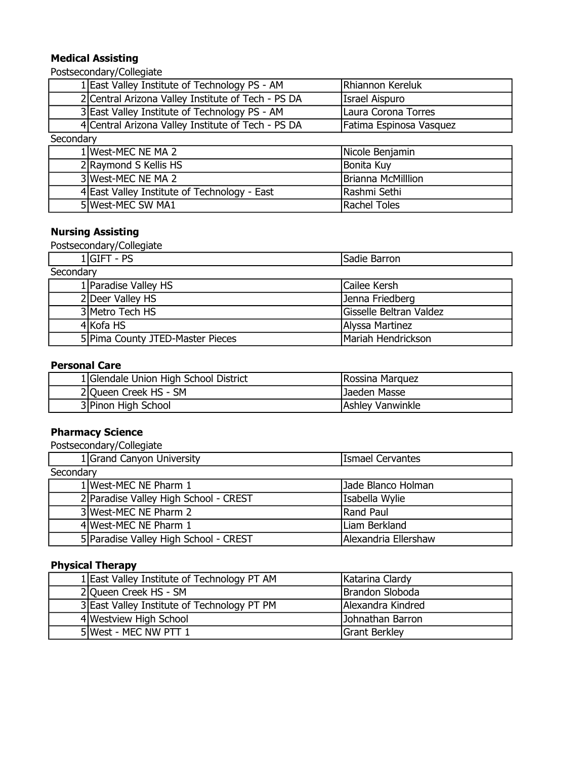## Medical Assisting

Postsecondary/Collegiate

|           | 1 East Valley Institute of Technology PS - AM      | Rhiannon Kereluk        |
|-----------|----------------------------------------------------|-------------------------|
|           | 2 Central Arizona Valley Institute of Tech - PS DA | <b>Israel Aispuro</b>   |
|           | 3 East Valley Institute of Technology PS - AM      | Laura Corona Torres     |
|           | 4 Central Arizona Valley Institute of Tech - PS DA | Fatima Espinosa Vasquez |
| Secondary |                                                    |                         |
|           | 1 West-MEC NE MA 2                                 | Nicole Benjamin         |
|           | 2 Raymond S Kellis HS                              | Bonita Kuy              |
|           | 3 West-MEC NE MA 2                                 | Brianna McMilllion      |
|           | 4 East Valley Institute of Technology - East       | Rashmi Sethi            |
|           | 5 West-MEC SW MA1                                  | Rachel Toles            |

### Nursing Assisting

Postsecondary/Collegiate

|           | $1 GIFT - PS$                    | Sadie Barron            |
|-----------|----------------------------------|-------------------------|
| Secondary |                                  |                         |
|           | 1 Paradise Valley HS             | Cailee Kersh            |
|           | 2 Deer Valley HS                 | Jenna Friedberg         |
|           | 3 Metro Tech HS                  | Gisselle Beltran Valdez |
|           | 4 Kofa HS                        | Alyssa Martinez         |
|           | 5 Pima County JTED-Master Pieces | Mariah Hendrickson      |

### Personal Care

| 1 Glendale Union High School District | Rossina Marquez  |
|---------------------------------------|------------------|
| 2 Queen Creek HS - SM                 | lJaeden Masse    |
| 3 Pinon High School                   | Ashley Vanwinkle |

### Pharmacy Science

Postsecondary/Collegiate

|           | 1 Grand Canyon University             | <b>Ismael Cervantes</b> |  |
|-----------|---------------------------------------|-------------------------|--|
| Secondary |                                       |                         |  |
|           | 1 West-MEC NE Pharm 1                 | Jade Blanco Holman      |  |
|           | 2 Paradise Valley High School - CREST | Isabella Wylie          |  |
|           | 3 West-MEC NE Pharm 2                 | Rand Paul               |  |
|           | 4 West-MEC NE Pharm 1                 | Liam Berkland           |  |
|           | 5 Paradise Valley High School - CREST | Alexandria Ellershaw    |  |

# Physical Therapy

| 1 East Valley Institute of Technology PT AM | Katarina Clardy      |
|---------------------------------------------|----------------------|
| 2 Queen Creek HS - SM                       | Brandon Sloboda      |
| 3 East Valley Institute of Technology PT PM | Alexandra Kindred    |
| 4 Westview High School                      | Johnathan Barron     |
| 5 West - MEC NW PTT 1                       | <b>Grant Berkley</b> |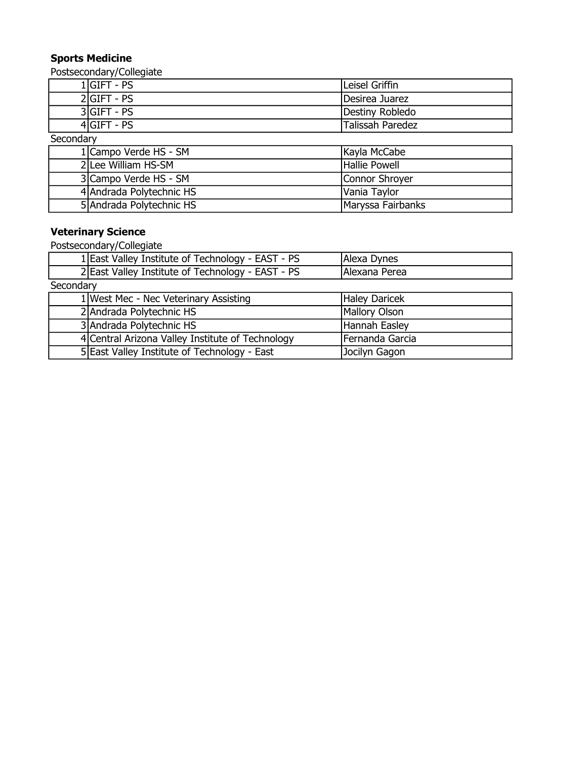# Sports Medicine

Postsecondary/Collegiate

|           | $1 GIFT - PS$            | Leisel Griffin          |  |
|-----------|--------------------------|-------------------------|--|
|           | $2 GIFT - PS$            | Desirea Juarez          |  |
|           | $3 GIFT - PS$            | Destiny Robledo         |  |
|           | $4 GIFT - PS$            | <b>Talissah Paredez</b> |  |
| Secondary |                          |                         |  |
|           | 1 Campo Verde HS - SM    | Kayla McCabe            |  |
|           | 2 Lee William HS-SM      | Hallie Powell           |  |
|           | 3 Campo Verde HS - SM    | Connor Shroyer          |  |
|           | 4 Andrada Polytechnic HS | Vania Taylor            |  |
|           | 5 Andrada Polytechnic HS | Maryssa Fairbanks       |  |

# Veterinary Science

|           | 1 East Valley Institute of Technology - EAST - PS | Alexa Dynes     |
|-----------|---------------------------------------------------|-----------------|
|           | 2 East Valley Institute of Technology - EAST - PS | Alexana Perea   |
| Secondary |                                                   |                 |
|           | 1 West Mec - Nec Veterinary Assisting             | Haley Daricek   |
|           | 2 Andrada Polytechnic HS                          | Mallory Olson   |
|           | 3 Andrada Polytechnic HS                          | Hannah Easley   |
|           | 4 Central Arizona Valley Institute of Technology  | Fernanda Garcia |
|           | 5 East Valley Institute of Technology - East      | Jocilyn Gagon   |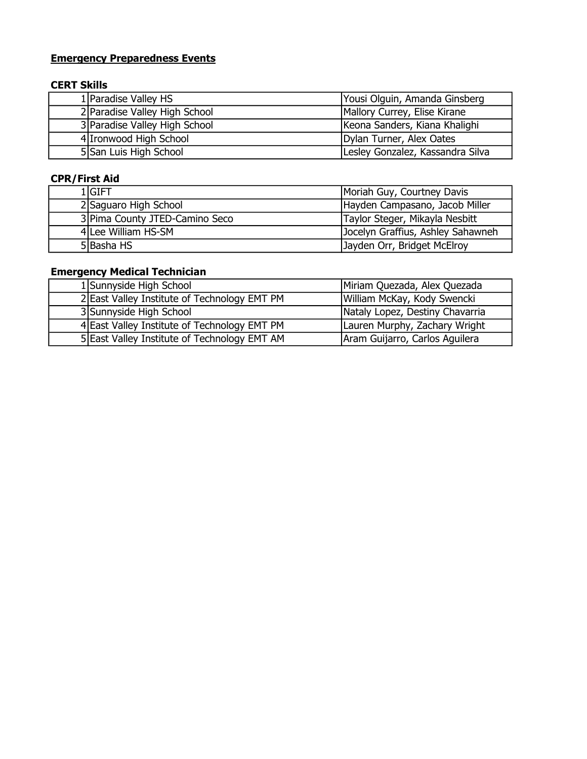# **Emergency Preparedness Events**

### CERT Skills

| 1 Paradise Valley HS          | Yousi Olguin, Amanda Ginsberg    |
|-------------------------------|----------------------------------|
| 2 Paradise Valley High School | Mallory Currey, Elise Kirane     |
| 3 Paradise Valley High School | Keona Sanders, Kiana Khalighi    |
| 4 Ironwood High School        | Dylan Turner, Alex Oates         |
| 5 San Luis High School        | Lesley Gonzalez, Kassandra Silva |

# CPR/First Aid

| 1 GIFT                         | Moriah Guy, Courtney Davis        |
|--------------------------------|-----------------------------------|
| 2 Saguaro High School          | Hayden Campasano, Jacob Miller    |
| 3 Pima County JTED-Camino Seco | Taylor Steger, Mikayla Nesbitt    |
| 4 Lee William HS-SM            | Jocelyn Graffius, Ashley Sahawneh |
| 5 Basha HS                     | Jayden Orr, Bridget McElroy       |

# Emergency Medical Technician

| 1 Sunnyside High School                      | Miriam Quezada, Alex Quezada    |
|----------------------------------------------|---------------------------------|
| 2 East Valley Institute of Technology EMT PM | William McKay, Kody Swencki     |
| 3 Sunnyside High School                      | Nataly Lopez, Destiny Chavarria |
| 4 East Valley Institute of Technology EMT PM | Lauren Murphy, Zachary Wright   |
| 5 East Valley Institute of Technology EMT AM | Aram Guijarro, Carlos Aguilera  |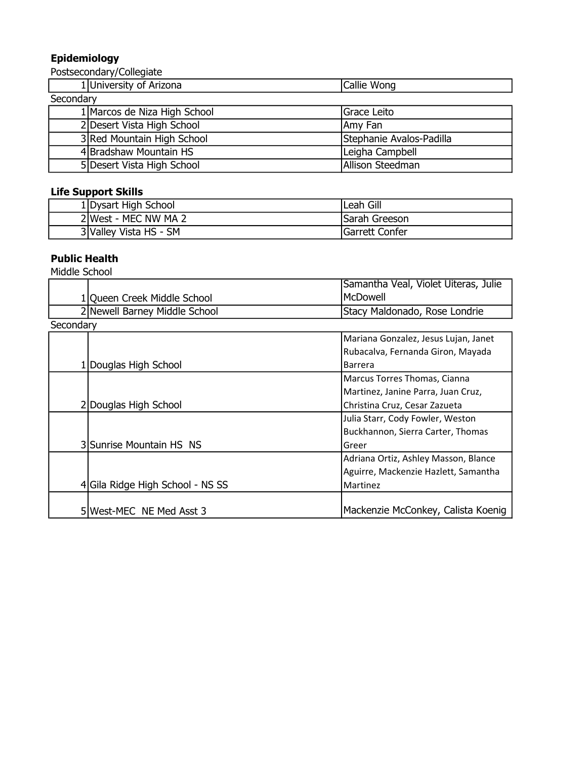### Epidemiology

Postsecondary/Collegiate

|           | 1 University of Arizona      | Callie Wong              |
|-----------|------------------------------|--------------------------|
| Secondary |                              |                          |
|           | 1 Marcos de Niza High School | Grace Leito              |
|           | 2 Desert Vista High School   | Amy Fan                  |
|           | 3 Red Mountain High School   | Stephanie Avalos-Padilla |
|           | 4 Bradshaw Mountain HS       | Leigha Campbell          |
|           | 5 Desert Vista High School   | Allison Steedman         |

# Life Support Skills

| 1 Dysart High School   | Leah Gill            |
|------------------------|----------------------|
| 2 West - MEC NW MA 2   | <b>Sarah Greeson</b> |
| 3 Valley Vista HS - SM | Garrett Confer       |

# Public Health

|           |                                  | Samantha Veal, Violet Uiteras, Julie |
|-----------|----------------------------------|--------------------------------------|
|           | 1 Queen Creek Middle School      | McDowell                             |
|           | 2 Newell Barney Middle School    | Stacy Maldonado, Rose Londrie        |
| Secondary |                                  |                                      |
|           |                                  | Mariana Gonzalez, Jesus Lujan, Janet |
|           |                                  | Rubacalva, Fernanda Giron, Mayada    |
|           | 1 Douglas High School            | <b>Barrera</b>                       |
|           |                                  | Marcus Torres Thomas, Cianna         |
|           |                                  | Martinez, Janine Parra, Juan Cruz,   |
|           | 2 Douglas High School            | Christina Cruz, Cesar Zazueta        |
|           |                                  | Julia Starr, Cody Fowler, Weston     |
|           |                                  | Buckhannon, Sierra Carter, Thomas    |
|           | 3 Sunrise Mountain HS NS         | Greer                                |
|           |                                  | Adriana Ortiz, Ashley Masson, Blance |
|           |                                  | Aguirre, Mackenzie Hazlett, Samantha |
|           | 4 Gila Ridge High School - NS SS | Martinez                             |
|           |                                  |                                      |
|           | 5 West-MEC NE Med Asst 3         | Mackenzie McConkey, Calista Koenig   |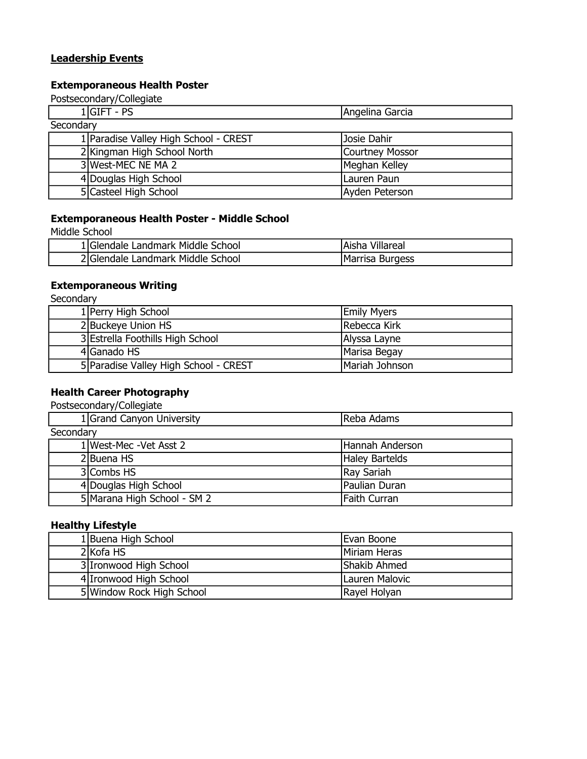### Leadership Events

### Extemporaneous Health Poster

Postsecondary/Collegiate

| $1 GIFT - PS$                         | Angelina Garcia |  |
|---------------------------------------|-----------------|--|
| Secondary                             |                 |  |
| 1 Paradise Valley High School - CREST | Josie Dahir     |  |
| 2 Kingman High School North           | Courtney Mossor |  |
| 3 West-MEC NE MA 2                    | Meghan Kelley   |  |
| 4 Douglas High School                 | Lauren Paun     |  |
| 5 Casteel High School                 | Ayden Peterson  |  |

### Extemporaneous Health Poster - Middle School

Middle School

| 1 Glendale Landmark Middle School | lAisha Villareal |
|-----------------------------------|------------------|
| 2 Glendale Landmark Middle School | Marrisa Burgess  |

### Extemporaneous Writing

**Secondary** 

| 1 Perry High School                   | <b>Emily Myers</b> |
|---------------------------------------|--------------------|
| 2 Buckeye Union HS                    | Rebecca Kirk       |
| 3 Estrella Foothills High School      | Alyssa Layne       |
| 4 Ganado HS                           | Marisa Begay       |
| 5 Paradise Valley High School - CREST | Mariah Johnson     |

# Health Career Photography

Postsecondary/Collegiate

| 1 Grand Canyon University   | Reba Adams      |  |
|-----------------------------|-----------------|--|
| Secondary                   |                 |  |
| 1 West-Mec -Vet Asst 2      | Hannah Anderson |  |
| 2 Buena HS                  | Haley Bartelds  |  |
| 3 Combs HS                  | Ray Sariah      |  |
| 4 Douglas High School       | Paulian Duran   |  |
| 5 Marana High School - SM 2 | Faith Curran    |  |

### Healthy Lifestyle

| 1 Buena High School       | Evan Boone          |
|---------------------------|---------------------|
| 2 Kofa HS                 | Miriam Heras        |
| 3 Ironwood High School    | <b>Shakib Ahmed</b> |
| 4 Ironwood High School    | Lauren Malovic      |
| 5 Window Rock High School | Rayel Holyan        |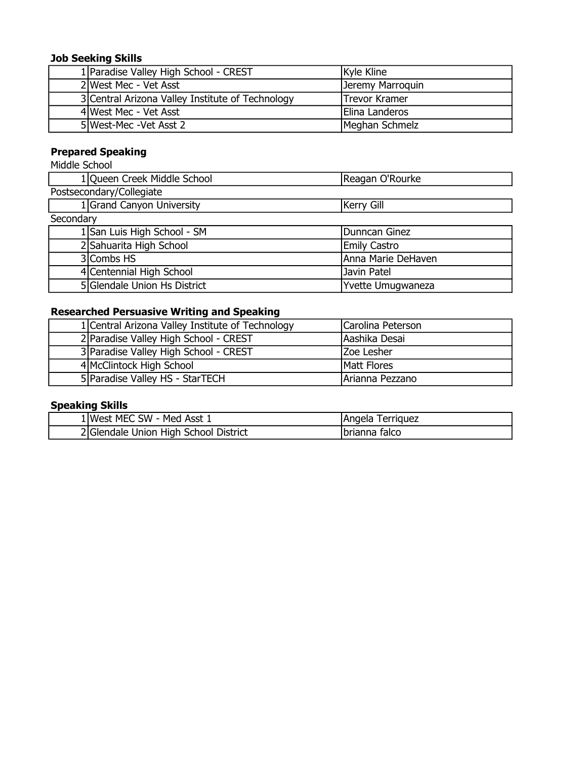# Job Seeking Skills

| 1 Paradise Valley High School - CREST            | Kyle Kline           |
|--------------------------------------------------|----------------------|
| 2 West Mec - Vet Asst                            | Jeremy Marroquin     |
| 3 Central Arizona Valley Institute of Technology | <b>Trevor Kramer</b> |
| 4lWest Mec - Vet Asst                            | Elina Landeros       |
| 5 West-Mec - Vet Asst 2                          | Meghan Schmelz       |

# Prepared Speaking

Middle School

|           | 1 Queen Creek Middle School  | Reagan O'Rourke     |  |
|-----------|------------------------------|---------------------|--|
|           | Postsecondary/Collegiate     |                     |  |
|           | 1 Grand Canyon University    | Kerry Gill          |  |
| Secondary |                              |                     |  |
|           | 1 San Luis High School - SM  | Dunncan Ginez       |  |
|           | 2 Sahuarita High School      | <b>Emily Castro</b> |  |
|           | 3 Combs HS                   | Anna Marie DeHaven  |  |
|           | 4 Centennial High School     | Javin Patel         |  |
|           | 5 Glendale Union Hs District | Yvette Umugwaneza   |  |

# Researched Persuasive Writing and Speaking

| 1 Central Arizona Valley Institute of Technology | Carolina Peterson |
|--------------------------------------------------|-------------------|
| 2 Paradise Valley High School - CREST            | Aashika Desai     |
| 3 Paradise Valley High School - CREST            | <b>Zoe Lesher</b> |
| 4 McClintock High School                         | Matt Flores       |
| 5   Paradise Valley HS - StarTECH                | Arianna Pezzano   |

# Speaking Skills

| + MEC SW - Med Asst 1                 | IAngela           |
|---------------------------------------|-------------------|
| <b>IWest</b>                          | <i>I</i> erriguez |
| 2 Glendale Union High School District | Ibrianna falco    |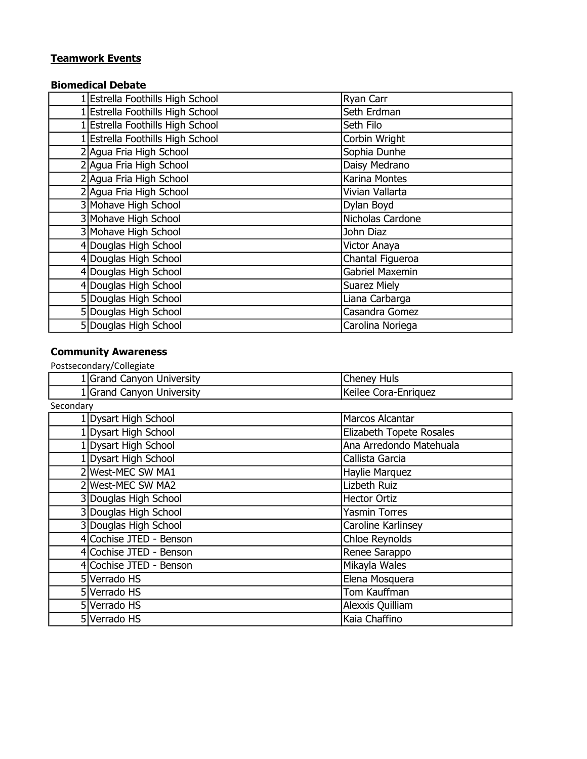# Teamwork Events

### Biomedical Debate

| 1 Estrella Foothills High School      | Ryan Carr              |
|---------------------------------------|------------------------|
| <b>Estrella Foothills High School</b> | Seth Erdman            |
| <b>Estrella Foothills High School</b> | Seth Filo              |
| <b>Estrella Foothills High School</b> | Corbin Wright          |
| 2 Agua Fria High School               | Sophia Dunhe           |
| 2 Agua Fria High School               | Daisy Medrano          |
| 2 Agua Fria High School               | Karina Montes          |
| 2 Agua Fria High School               | Vivian Vallarta        |
| 3 Mohave High School                  | Dylan Boyd             |
| 3 Mohave High School                  | Nicholas Cardone       |
| 3 Mohave High School                  | John Diaz              |
| 4 Douglas High School                 | Victor Anaya           |
| 4 Douglas High School                 | Chantal Figueroa       |
| 4 Douglas High School                 | <b>Gabriel Maxemin</b> |
| 4 Douglas High School                 | Suarez Miely           |
| 5 Douglas High School                 | Liana Carbarga         |
| 5 Douglas High School                 | Casandra Gomez         |
| 5 Douglas High School                 | Carolina Noriega       |

# Community Awareness

|           | Grand Canyon University | <b>Cheney Huls</b>       |
|-----------|-------------------------|--------------------------|
|           | Grand Canyon University | Keilee Cora-Enriquez     |
| Secondary |                         |                          |
|           | 1 Dysart High School    | Marcos Alcantar          |
|           | 1 Dysart High School    | Elizabeth Topete Rosales |
|           | 1 Dysart High School    | Ana Arredondo Matehuala  |
|           | 1 Dysart High School    | Callista Garcia          |
|           | 2 West-MEC SW MA1       | Haylie Marquez           |
|           | 2 West-MEC SW MA2       | Lizbeth Ruiz             |
|           | 3 Douglas High School   | <b>Hector Ortiz</b>      |
|           | 3 Douglas High School   | <b>Yasmin Torres</b>     |
|           | 3 Douglas High School   | Caroline Karlinsey       |
|           | 4 Cochise JTED - Benson | <b>Chloe Reynolds</b>    |
|           | 4 Cochise JTED - Benson | Renee Sarappo            |
|           | 4 Cochise JTED - Benson | Mikayla Wales            |
|           | 5 Verrado HS            | Elena Mosquera           |
|           | 5 Verrado HS            | Tom Kauffman             |
|           | 5 Verrado HS            | Alexxis Quilliam         |
|           | 5 Verrado HS            | Kaia Chaffino            |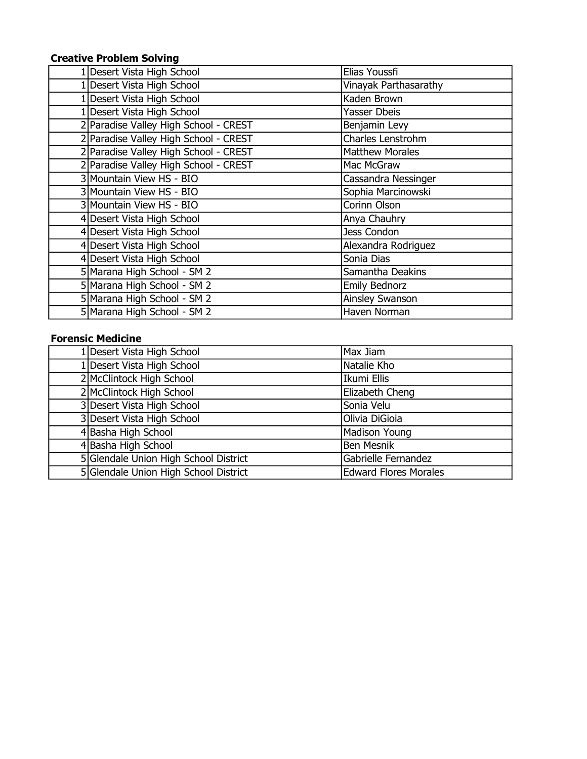# Creative Problem Solving

| Desert Vista High School              | Elias Youssfi          |
|---------------------------------------|------------------------|
| 1 Desert Vista High School            | Vinayak Parthasarathy  |
| 1 Desert Vista High School            | Kaden Brown            |
| 1 Desert Vista High School            | Yasser Dbeis           |
| 2 Paradise Valley High School - CREST | Benjamin Levy          |
| 2 Paradise Valley High School - CREST | Charles Lenstrohm      |
| 2 Paradise Valley High School - CREST | <b>Matthew Morales</b> |
| 2 Paradise Valley High School - CREST | Mac McGraw             |
| 3 Mountain View HS - BIO              | Cassandra Nessinger    |
| 3 Mountain View HS - BIO              | Sophia Marcinowski     |
| 3 Mountain View HS - BIO              | Corinn Olson           |
| 4 Desert Vista High School            | Anya Chauhry           |
| 4 Desert Vista High School            | Jess Condon            |
| 4 Desert Vista High School            | Alexandra Rodriguez    |
| 4 Desert Vista High School            | Sonia Dias             |
| 5 Marana High School - SM 2           | Samantha Deakins       |
| 5 Marana High School - SM 2           | <b>Emily Bednorz</b>   |
| 5 Marana High School - SM 2           | <b>Ainsley Swanson</b> |
| 5 Marana High School - SM 2           | Haven Norman           |

### Forensic Medicine

| 1 Desert Vista High School            | Max Jiam                     |
|---------------------------------------|------------------------------|
| 1 Desert Vista High School            | Natalie Kho                  |
| 2 McClintock High School              | Ikumi Ellis                  |
| 2 McClintock High School              | Elizabeth Cheng              |
| 3 Desert Vista High School            | Sonia Velu                   |
| 3 Desert Vista High School            | Olivia DiGioia               |
| 4 Basha High School                   | Madison Young                |
| 4 Basha High School                   | <b>Ben Mesnik</b>            |
| 5 Glendale Union High School District | Gabrielle Fernandez          |
| 5 Glendale Union High School District | <b>Edward Flores Morales</b> |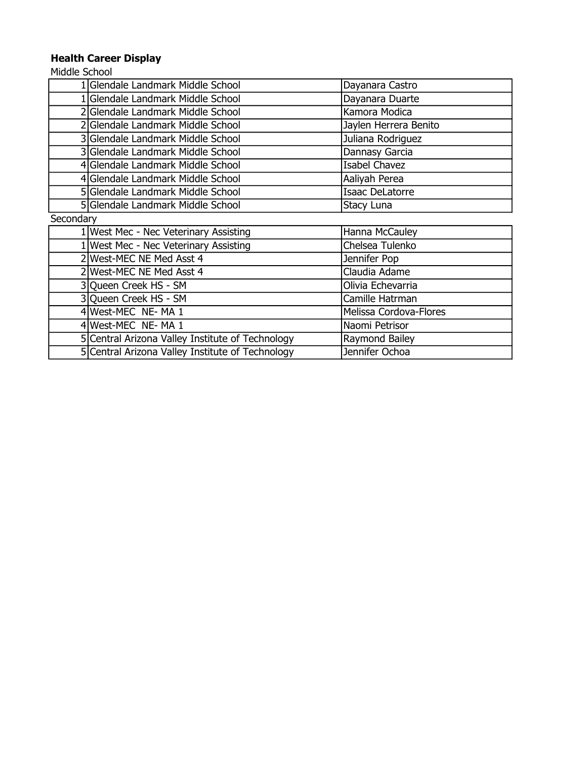# Health Career Display

|           | 1 Glendale Landmark Middle School                | Dayanara Castro        |
|-----------|--------------------------------------------------|------------------------|
|           | 1 Glendale Landmark Middle School                | Dayanara Duarte        |
|           | 2 Glendale Landmark Middle School                | Kamora Modica          |
|           | Glendale Landmark Middle School                  | Jaylen Herrera Benito  |
|           | 3 Glendale Landmark Middle School                | Juliana Rodriguez      |
|           | 3 Glendale Landmark Middle School                | Dannasy Garcia         |
|           | 4 Glendale Landmark Middle School                | <b>Isabel Chavez</b>   |
|           | 4 Glendale Landmark Middle School                | Aaliyah Perea          |
|           | 5 Glendale Landmark Middle School                | Isaac DeLatorre        |
|           | 5 Glendale Landmark Middle School                | Stacy Luna             |
| Secondary |                                                  |                        |
|           | 1 West Mec - Nec Veterinary Assisting            | Hanna McCauley         |
|           | 1 West Mec - Nec Veterinary Assisting            | Chelsea Tulenko        |
|           | 2 West-MEC NE Med Asst 4                         | Jennifer Pop           |
|           | 2 West-MEC NE Med Asst 4                         | Claudia Adame          |
|           | 3 Queen Creek HS - SM                            | Olivia Echevarria      |
|           | 3 Queen Creek HS - SM                            | Camille Hatrman        |
|           | 4 West-MEC NE- MA 1                              | Melissa Cordova-Flores |
|           | 4 West-MEC NE-MA 1                               | Naomi Petrisor         |
|           | 5 Central Arizona Valley Institute of Technology | Raymond Bailey         |
|           | 5 Central Arizona Valley Institute of Technology | Jennifer Ochoa         |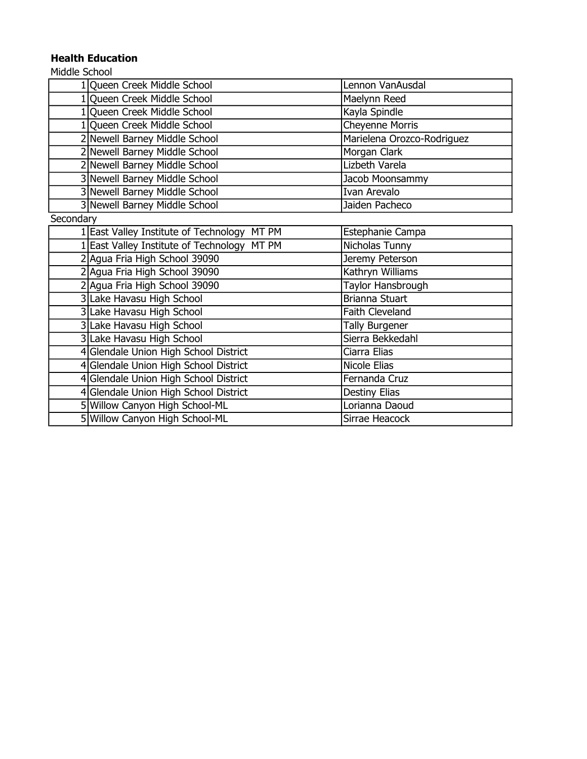# Health Education

| 1 Queen Creek Middle School                    | Lennon VanAusdal           |
|------------------------------------------------|----------------------------|
| 1 Queen Creek Middle School                    | Maelynn Reed               |
| 1 Queen Creek Middle School                    | Kayla Spindle              |
| 1 Queen Creek Middle School                    | <b>Cheyenne Morris</b>     |
| 2 Newell Barney Middle School                  | Marielena Orozco-Rodriguez |
| 2 Newell Barney Middle School                  | Morgan Clark               |
| 2 Newell Barney Middle School                  | Lizbeth Varela             |
| 3 Newell Barney Middle School                  | Jacob Moonsammy            |
| 3 Newell Barney Middle School                  | Ivan Arevalo               |
| 3 Newell Barney Middle School                  | Jaiden Pacheco             |
| Secondary                                      |                            |
| MT PM<br>1 East Valley Institute of Technology | Estephanie Campa           |
| 1 East Valley Institute of Technology<br>MT PM | Nicholas Tunny             |
| 2 Agua Fria High School 39090                  | Jeremy Peterson            |
| 2 Agua Fria High School 39090                  | Kathryn Williams           |
| 2 Agua Fria High School 39090                  | Taylor Hansbrough          |
| 3 Lake Havasu High School                      | Brianna Stuart             |
| 3 Lake Havasu High School                      | Faith Cleveland            |
| 3 Lake Havasu High School                      | <b>Tally Burgener</b>      |
| 3 Lake Havasu High School                      | Sierra Bekkedahl           |
| 4 Glendale Union High School District          | Ciarra Elias               |
| 4 Glendale Union High School District          | Nicole Elias               |
| 4 Glendale Union High School District          | Fernanda Cruz              |
| 4 Glendale Union High School District          | Destiny Elias              |
| 5 Willow Canyon High School-ML                 | Lorianna Daoud             |
| 5 Willow Canyon High School-ML                 | Sirrae Heacock             |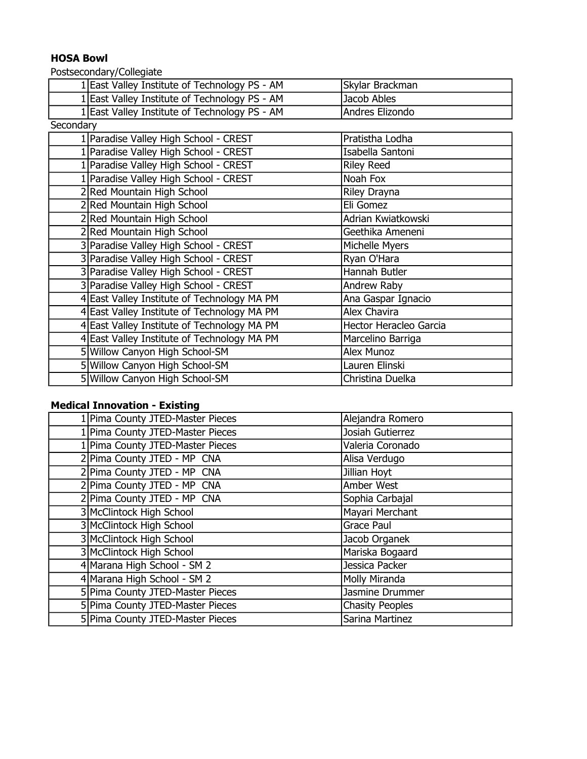# HOSA Bowl

Postsecondary/Collegiate

|           | 1 East Valley Institute of Technology PS - AM | Skylar Brackman        |
|-----------|-----------------------------------------------|------------------------|
|           | 1 East Valley Institute of Technology PS - AM | Jacob Ables            |
|           | 1 East Valley Institute of Technology PS - AM | Andres Elizondo        |
| Secondary |                                               |                        |
|           | 1 Paradise Valley High School - CREST         | Pratistha Lodha        |
|           | 1 Paradise Valley High School - CREST         | Isabella Santoni       |
|           | 1 Paradise Valley High School - CREST         | <b>Riley Reed</b>      |
|           | 1 Paradise Valley High School - CREST         | Noah Fox               |
|           | 2 Red Mountain High School                    | Riley Drayna           |
|           | 2 Red Mountain High School                    | Eli Gomez              |
|           | 2Red Mountain High School                     | Adrian Kwiatkowski     |
|           | 2 Red Mountain High School                    | Geethika Ameneni       |
|           | 3 Paradise Valley High School - CREST         | Michelle Myers         |
|           | 3 Paradise Valley High School - CREST         | Ryan O'Hara            |
|           | 3 Paradise Valley High School - CREST         | Hannah Butler          |
|           | 3 Paradise Valley High School - CREST         | Andrew Raby            |
|           | 4 East Valley Institute of Technology MA PM   | Ana Gaspar Ignacio     |
|           | 4 East Valley Institute of Technology MA PM   | Alex Chavira           |
|           | 4 East Valley Institute of Technology MA PM   | Hector Heracleo Garcia |
|           | 4 East Valley Institute of Technology MA PM   | Marcelino Barriga      |
|           | 5 Willow Canyon High School-SM                | Alex Munoz             |
|           | 5 Willow Canyon High School-SM                | Lauren Elinski         |
|           | 5 Willow Canyon High School-SM                | Christina Duelka       |
|           |                                               |                        |

# Medical Innovation - Existing

| 1 Pima County JTED-Master Pieces | Alejandra Romero       |
|----------------------------------|------------------------|
| 1 Pima County JTED-Master Pieces | Josiah Gutierrez       |
| 1 Pima County JTED-Master Pieces | Valeria Coronado       |
| 2 Pima County JTED - MP CNA      | Alisa Verdugo          |
| 2 Pima County JTED - MP CNA      | Jillian Hoyt           |
| 2 Pima County JTED - MP CNA      | Amber West             |
| 2 Pima County JTED - MP CNA      | Sophia Carbajal        |
| 3 McClintock High School         | Mayari Merchant        |
| 3 McClintock High School         | Grace Paul             |
| 3 McClintock High School         | Jacob Organek          |
| 3 McClintock High School         | Mariska Bogaard        |
| 4 Marana High School - SM 2      | Jessica Packer         |
| 4 Marana High School - SM 2      | Molly Miranda          |
| 5 Pima County JTED-Master Pieces | Jasmine Drummer        |
| 5 Pima County JTED-Master Pieces | <b>Chasity Peoples</b> |
| 5 Pima County JTED-Master Pieces | Sarina Martinez        |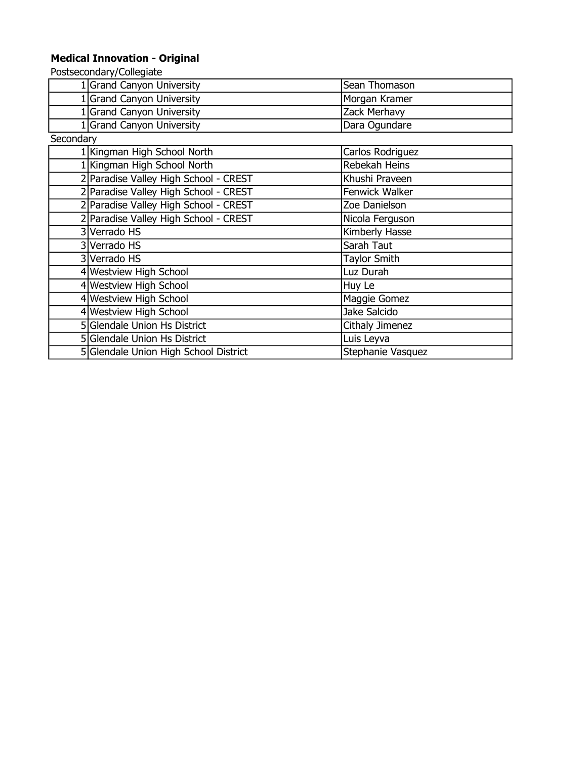### Medical Innovation - Original

|           | 1 Grand Canyon University             | Sean Thomason       |
|-----------|---------------------------------------|---------------------|
|           | 1 Grand Canyon University             | Morgan Kramer       |
|           | 1 Grand Canyon University             | Zack Merhavy        |
|           | 1 Grand Canyon University             | Dara Ogundare       |
| Secondary |                                       |                     |
|           | 1 Kingman High School North           | Carlos Rodriguez    |
|           | 1 Kingman High School North           | Rebekah Heins       |
|           | 2 Paradise Valley High School - CREST | Khushi Praveen      |
|           | 2 Paradise Valley High School - CREST | Fenwick Walker      |
|           | 2 Paradise Valley High School - CREST | Zoe Danielson       |
|           | 2 Paradise Valley High School - CREST | Nicola Ferguson     |
|           | 3   Verrado HS                        | Kimberly Hasse      |
|           | 3 Verrado HS                          | Sarah Taut          |
|           | 3 Verrado HS                          | <b>Taylor Smith</b> |
|           | 4 Westview High School                | Luz Durah           |
|           | 4 Westview High School                | Huy Le              |
|           | 4 Westview High School                | Maggie Gomez        |
|           | 4 Westview High School                | Jake Salcido        |
|           | 5 Glendale Union Hs District          | Cithaly Jimenez     |
|           | 5 Glendale Union Hs District          | Luis Leyva          |
|           | 5 Glendale Union High School District | Stephanie Vasquez   |
|           |                                       |                     |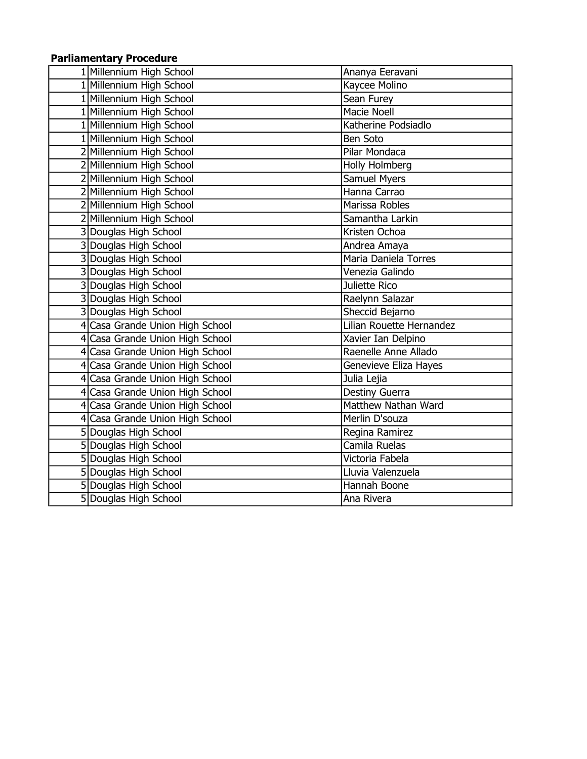## Parliamentary Procedure

| 1 Millennium High School        | Ananya Eeravani          |
|---------------------------------|--------------------------|
| 1 Millennium High School        | Kaycee Molino            |
| 1 Millennium High School        | Sean Furey               |
| 1 Millennium High School        | <b>Macie Noell</b>       |
| 1 Millennium High School        | Katherine Podsiadlo      |
| 1 Millennium High School        | Ben Soto                 |
| 2 Millennium High School        | Pilar Mondaca            |
| 2 Millennium High School        | Holly Holmberg           |
| 2 Millennium High School        | Samuel Myers             |
| 2 Millennium High School        | Hanna Carrao             |
| 2 Millennium High School        | Marissa Robles           |
| 2 Millennium High School        | Samantha Larkin          |
| 3 Douglas High School           | Kristen Ochoa            |
| 3 Douglas High School           | Andrea Amaya             |
| 3 Douglas High School           | Maria Daniela Torres     |
| 3 Douglas High School           | Venezia Galindo          |
| 3 Douglas High School           | Juliette Rico            |
| 3 Douglas High School           | Raelynn Salazar          |
| 3 Douglas High School           | Sheccid Bejarno          |
| 4 Casa Grande Union High School | Lilian Rouette Hernandez |
| 4 Casa Grande Union High School | Xavier Ian Delpino       |
| 4 Casa Grande Union High School | Raenelle Anne Allado     |
| 4 Casa Grande Union High School | Genevieve Eliza Hayes    |
| 4 Casa Grande Union High School | Julia Lejia              |
| 4 Casa Grande Union High School | Destiny Guerra           |
| 4 Casa Grande Union High School | Matthew Nathan Ward      |
| 4 Casa Grande Union High School | Merlin D'souza           |
| 5 Douglas High School           | Regina Ramirez           |
| 5 Douglas High School           | Camila Ruelas            |
| 5 Douglas High School           | Victoria Fabela          |
| 5 Douglas High School           | Lluvia Valenzuela        |
| 5 Douglas High School           | Hannah Boone             |
| 5 Douglas High School           | Ana Rivera               |